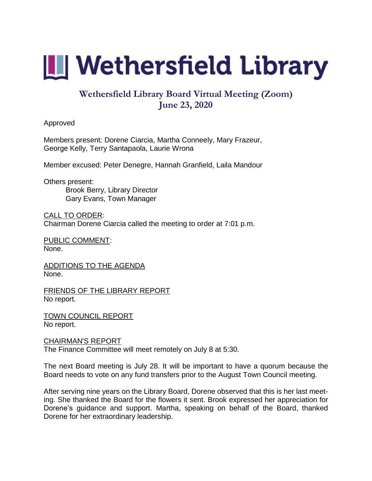

## **Wethersfield Library Board Virtual Meeting (Zoom) June 23, 2020**

Approved

Members present: Dorene Ciarcia, Martha Conneely, Mary Frazeur, George Kelly, Terry Santapaola, Laurie Wrona

Member excused: Peter Denegre, Hannah Granfield, Laila Mandour

Others present: Brook Berry, Library Director Gary Evans, Town Manager

CALL TO ORDER: Chairman Dorene Ciarcia called the meeting to order at 7:01 p.m.

PUBLIC COMMENT: None.

ADDITIONS TO THE AGENDA None.

FRIENDS OF THE LIBRARY REPORT No report.

TOWN COUNCIL REPORT No report.

## CHAIRMAN'S REPORT

The Finance Committee will meet remotely on July 8 at 5:30.

The next Board meeting is July 28. It will be important to have a quorum because the Board needs to vote on any fund transfers prior to the August Town Council meeting.

After serving nine years on the Library Board, Dorene observed that this is her last meeting. She thanked the Board for the flowers it sent. Brook expressed her appreciation for Dorene's guidance and support. Martha, speaking on behalf of the Board, thanked Dorene for her extraordinary leadership.